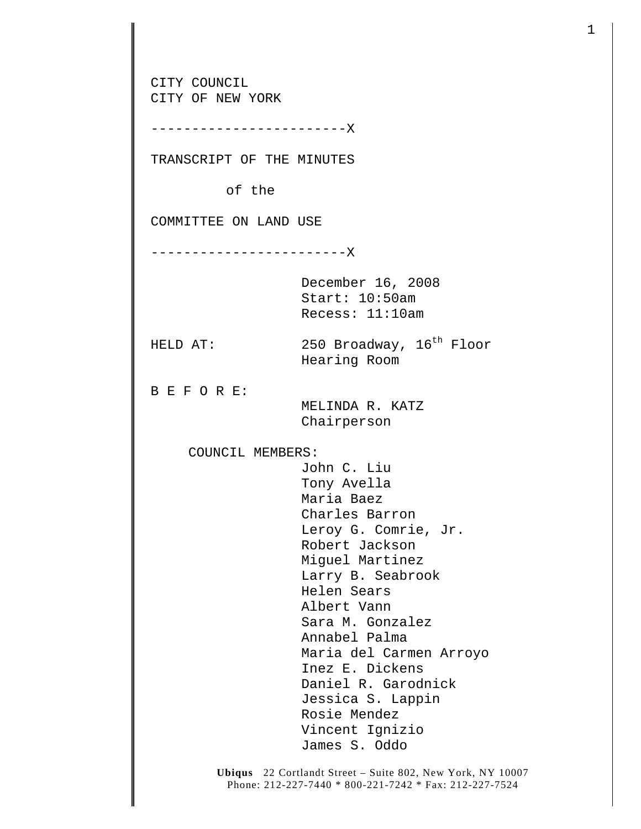**Ubiqus** 22 Cortlandt Street – Suite 802, New York, NY 10007 CITY COUNCIL CITY OF NEW YORK ------------------------X TRANSCRIPT OF THE MINUTES of the COMMITTEE ON LAND USE ------------------------X December 16, 2008 Start: 10:50am Recess: 11:10am HELD AT: 250 Broadway,  $16^{th}$  Floor Hearing Room B E F O R E: MELINDA R. KATZ Chairperson COUNCIL MEMBERS: John C. Liu Tony Avella Maria Baez Charles Barron Leroy G. Comrie, Jr. Robert Jackson Miguel Martinez Larry B. Seabrook Helen Sears Albert Vann Sara M. Gonzalez Annabel Palma Maria del Carmen Arroyo Inez E. Dickens Daniel R. Garodnick Jessica S. Lappin Rosie Mendez Vincent Ignizio James S. Oddo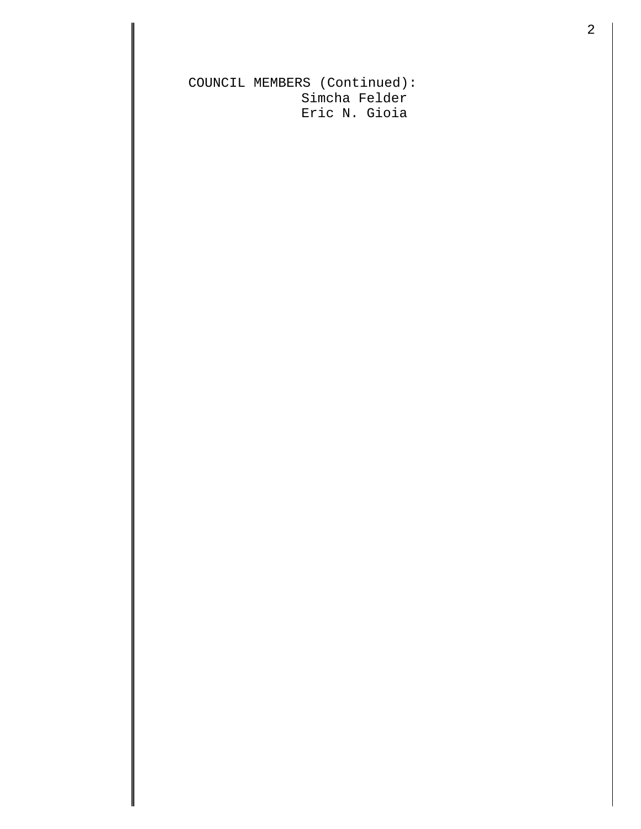COUNCIL MEMBERS (Continued): Simcha Felder Eric N. Gioia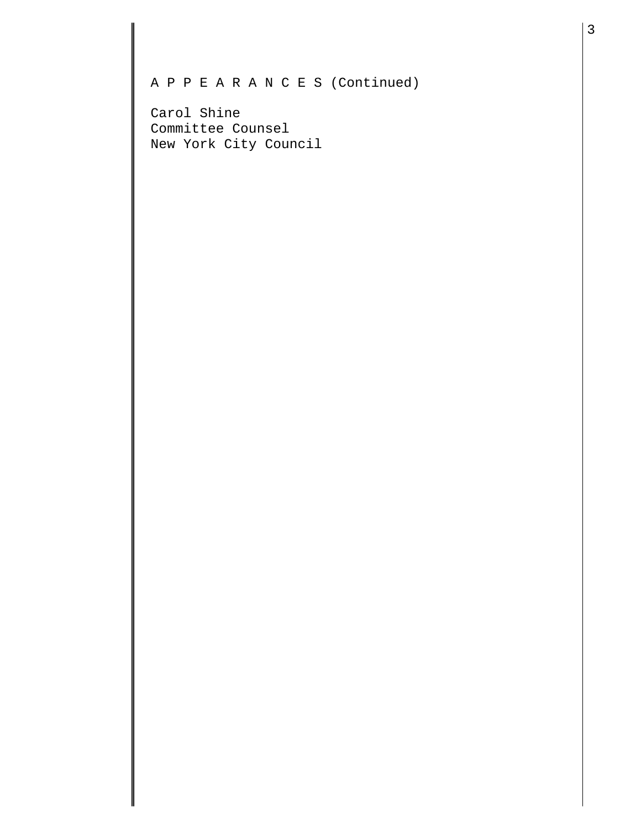## A P P E A R A N C E S (Continued)

Carol Shine Committee Counsel New York City Council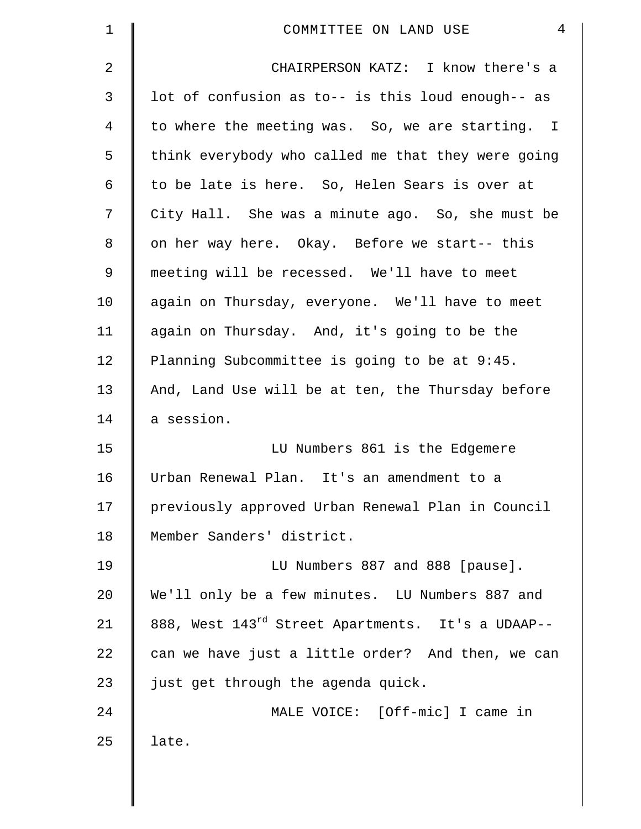| $\mathbf 1$ | $\overline{4}$<br>COMMITTEE ON LAND USE            |
|-------------|----------------------------------------------------|
| 2           | CHAIRPERSON KATZ: I know there's a                 |
| 3           | lot of confusion as to-- is this loud enough-- as  |
| 4           | to where the meeting was. So, we are starting. I   |
| 5           | think everybody who called me that they were going |
| 6           | to be late is here. So, Helen Sears is over at     |
| 7           | City Hall. She was a minute ago. So, she must be   |
| 8           | on her way here. Okay. Before we start-- this      |
| 9           | meeting will be recessed. We'll have to meet       |
| 10          | again on Thursday, everyone. We'll have to meet    |
| 11          | again on Thursday. And, it's going to be the       |
| 12          | Planning Subcommittee is going to be at 9:45.      |
| 13          | And, Land Use will be at ten, the Thursday before  |
| 14          | a session.                                         |
| 15          | LU Numbers 861 is the Edgemere                     |
| 16          | Urban Renewal Plan. It's an amendment to a         |
| 17          | previously approved Urban Renewal Plan in Council  |
| 18          | Member Sanders' district.                          |
| 19          | LU Numbers 887 and 888 [pause].                    |
| 20          | We'll only be a few minutes. LU Numbers 887 and    |
| 21          | 888, West 143rd Street Apartments. It's a UDAAP--  |
| 22          | can we have just a little order? And then, we can  |
| 23          | just get through the agenda quick.                 |
| 24          | MALE VOICE: [Off-mic] I came in                    |
| 25          | late.                                              |
|             |                                                    |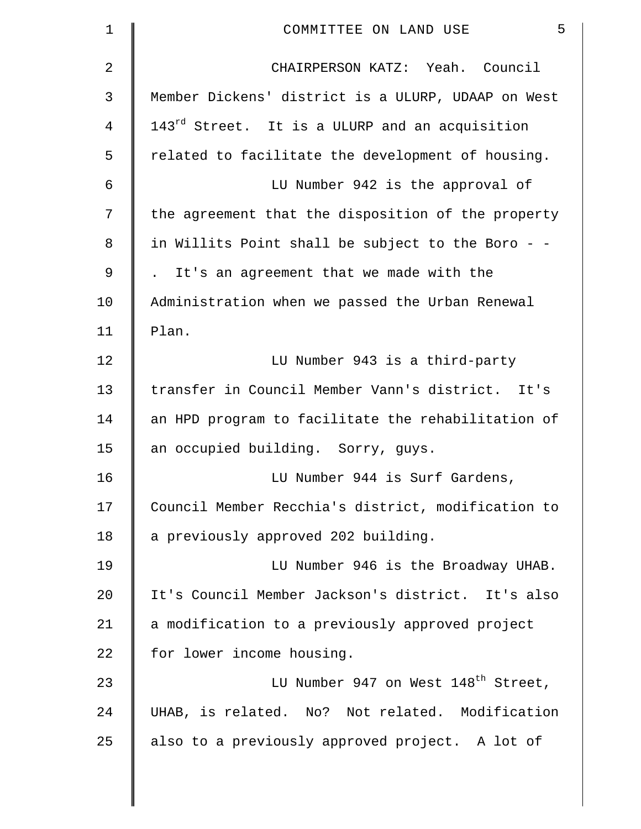| $\mathbf 1$    | 5<br>COMMITTEE ON LAND USE                                 |
|----------------|------------------------------------------------------------|
| $\overline{2}$ | CHAIRPERSON KATZ: Yeah. Council                            |
| 3              | Member Dickens' district is a ULURP, UDAAP on West         |
| 4              | 143 <sup>rd</sup> Street. It is a ULURP and an acquisition |
| 5              | related to facilitate the development of housing.          |
| 6              | LU Number 942 is the approval of                           |
| 7              | the agreement that the disposition of the property         |
| 8              | in Willits Point shall be subject to the Boro - -          |
| 9              | . It's an agreement that we made with the                  |
| 10             | Administration when we passed the Urban Renewal            |
| 11             | Plan.                                                      |
| 12             | LU Number 943 is a third-party                             |
| 13             | transfer in Council Member Vann's district. It's           |
| 14             | an HPD program to facilitate the rehabilitation of         |
| 15             | an occupied building. Sorry, guys.                         |
| 16             | LU Number 944 is Surf Gardens,                             |
| 17             | Council Member Recchia's district, modification to         |
| 18             | a previously approved 202 building.                        |
| 19             | LU Number 946 is the Broadway UHAB.                        |
| 20             | It's Council Member Jackson's district. It's also          |
| 21             | a modification to a previously approved project            |
| 22             | for lower income housing.                                  |
| 23             | LU Number 947 on West 148 <sup>th</sup> Street,            |
| 24             | UHAB, is related. No? Not related. Modification            |
| 25             | also to a previously approved project. A lot of            |
|                |                                                            |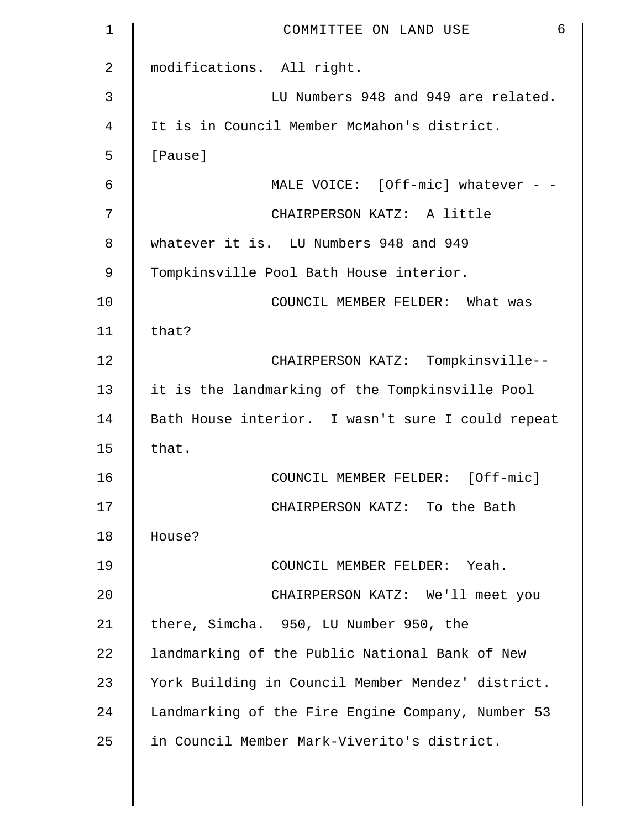| $\mathbf 1$ | 6<br>COMMITTEE ON LAND USE                        |
|-------------|---------------------------------------------------|
| 2           | modifications. All right.                         |
| 3           | LU Numbers 948 and 949 are related.               |
| 4           | It is in Council Member McMahon's district.       |
| 5           | [Pause]                                           |
| 6           | MALE VOICE: [Off-mic] whatever - -                |
| 7           | CHAIRPERSON KATZ: A little                        |
| 8           | whatever it is. LU Numbers 948 and 949            |
| 9           | Tompkinsville Pool Bath House interior.           |
| 10          | COUNCIL MEMBER FELDER: What was                   |
| 11          | that?                                             |
| 12          | CHAIRPERSON KATZ: Tompkinsville--                 |
| 13          | it is the landmarking of the Tompkinsville Pool   |
| 14          | Bath House interior. I wasn't sure I could repeat |
| 15          | that.                                             |
| 16          | COUNCIL MEMBER FELDER: [Off-mic]                  |
| 17          | CHAIRPERSON KATZ: To the Bath                     |
| 18          | House?                                            |
| 19          | COUNCIL MEMBER FELDER: Yeah.                      |
| 20          | CHAIRPERSON KATZ: We'll meet you                  |
| 21          | there, Simcha. 950, LU Number 950, the            |
| 22          | landmarking of the Public National Bank of New    |
| 23          | York Building in Council Member Mendez' district. |
| 24          | Landmarking of the Fire Engine Company, Number 53 |
| 25          | in Council Member Mark-Viverito's district.       |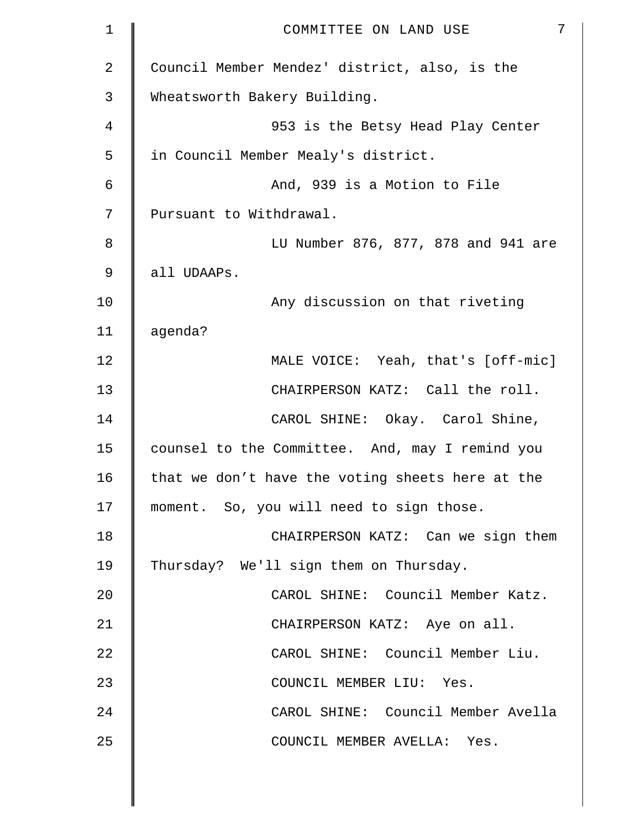| 1  | 7<br>COMMITTEE ON LAND USE                       |
|----|--------------------------------------------------|
| 2  | Council Member Mendez' district, also, is the    |
| 3  | Wheatsworth Bakery Building.                     |
| 4  | 953 is the Betsy Head Play Center                |
| 5  | in Council Member Mealy's district.              |
| 6  | And, 939 is a Motion to File                     |
| 7  | Pursuant to Withdrawal.                          |
| 8  | LU Number 876, 877, 878 and 941 are              |
| 9  | all UDAAPs.                                      |
| 10 | Any discussion on that riveting                  |
| 11 | agenda?                                          |
| 12 | MALE VOICE: Yeah, that's [off-mic]               |
| 13 | CHAIRPERSON KATZ: Call the roll.                 |
| 14 | CAROL SHINE: Okay. Carol Shine,                  |
| 15 | counsel to the Committee. And, may I remind you  |
| 16 | that we don't have the voting sheets here at the |
| 17 | moment. So, you will need to sign those.         |
| 18 | CHAIRPERSON KATZ: Can we sign them               |
| 19 | Thursday? We'll sign them on Thursday.           |
| 20 | CAROL SHINE: Council Member Katz.                |
| 21 | CHAIRPERSON KATZ: Aye on all.                    |
| 22 | CAROL SHINE: Council Member Liu.                 |
| 23 | COUNCIL MEMBER LIU: Yes.                         |
| 24 | CAROL SHINE: Council Member Avella               |
| 25 | COUNCIL MEMBER AVELLA: Yes.                      |
|    |                                                  |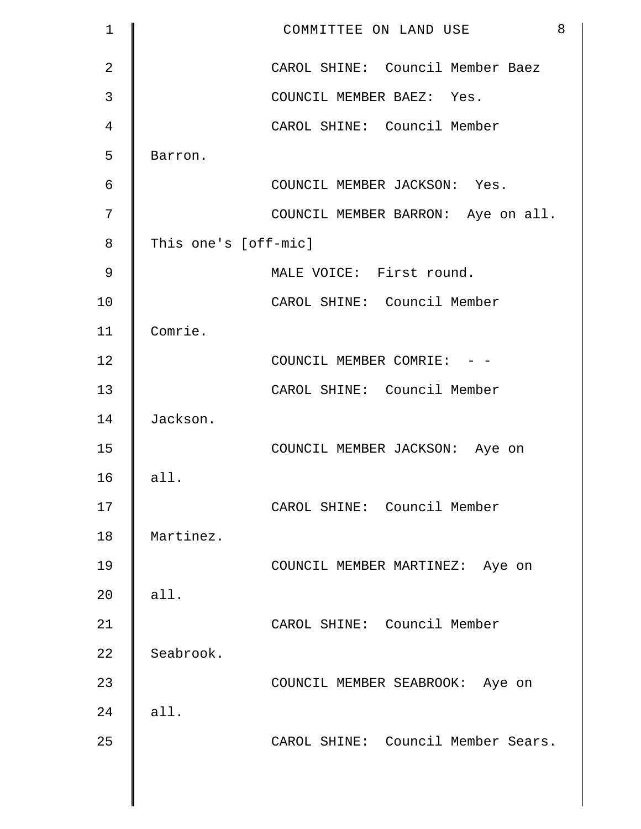| $\mathbf 1$    | 8<br>COMMITTEE ON LAND USE         |
|----------------|------------------------------------|
| $\overline{a}$ | CAROL SHINE: Council Member Baez   |
| 3              | COUNCIL MEMBER BAEZ: Yes.          |
| 4              | CAROL SHINE: Council Member        |
| 5              | Barron.                            |
| 6              | COUNCIL MEMBER JACKSON: Yes.       |
| 7              | COUNCIL MEMBER BARRON: Aye on all. |
| 8              | This one's [off-mic]               |
| 9              | MALE VOICE: First round.           |
| 10             | CAROL SHINE: Council Member        |
| 11             | Comrie.                            |
| 12             | COUNCIL MEMBER COMRIE: - -         |
| 13             | CAROL SHINE: Council Member        |
| 14             | Jackson.                           |
| 15             | COUNCIL MEMBER JACKSON: Aye on     |
| 16             | all.                               |
| 17             | CAROL SHINE: Council Member        |
| 18             | Martinez.                          |
| 19             | COUNCIL MEMBER MARTINEZ: Aye on    |
| 20             | all.                               |
| 21             | CAROL SHINE: Council Member        |
| 22             | Seabrook.                          |
| 23             | COUNCIL MEMBER SEABROOK: Aye on    |
| 24             | all.                               |
| 25             | CAROL SHINE: Council Member Sears. |
|                |                                    |
|                |                                    |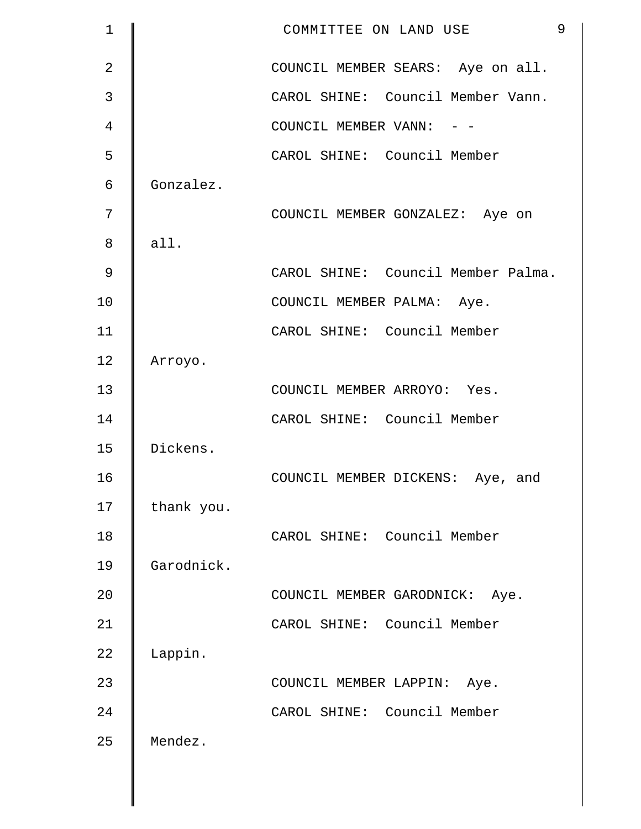| $\mathbf 1$    |            | 9<br>COMMITTEE ON LAND USE         |
|----------------|------------|------------------------------------|
| $\overline{2}$ |            | COUNCIL MEMBER SEARS: Aye on all.  |
| 3              |            | CAROL SHINE: Council Member Vann.  |
| 4              |            | COUNCIL MEMBER VANN: - -           |
| 5              |            | CAROL SHINE: Council Member        |
| 6              | Gonzalez.  |                                    |
| 7              |            | COUNCIL MEMBER GONZALEZ: Aye on    |
| 8              | all.       |                                    |
| $\mathcal{G}$  |            | CAROL SHINE: Council Member Palma. |
| 10             |            | COUNCIL MEMBER PALMA: Aye.         |
| 11             |            | CAROL SHINE: Council Member        |
| 12             | Arroyo.    |                                    |
| 13             |            | COUNCIL MEMBER ARROYO: Yes.        |
| 14             |            | CAROL SHINE: Council Member        |
| 15             | Dickens.   |                                    |
| 16             |            | COUNCIL MEMBER DICKENS: Aye, and   |
| 17             | thank you. |                                    |
| 18             |            | CAROL SHINE: Council Member        |
| 19             | Garodnick. |                                    |
| 20             |            | COUNCIL MEMBER GARODNICK: Aye.     |
| 21             |            | CAROL SHINE: Council Member        |
| 22             | Lappin.    |                                    |
| 23             |            | COUNCIL MEMBER LAPPIN: Aye.        |
| 24             |            | CAROL SHINE: Council Member        |
| 25             | Mendez.    |                                    |
|                |            |                                    |
|                |            |                                    |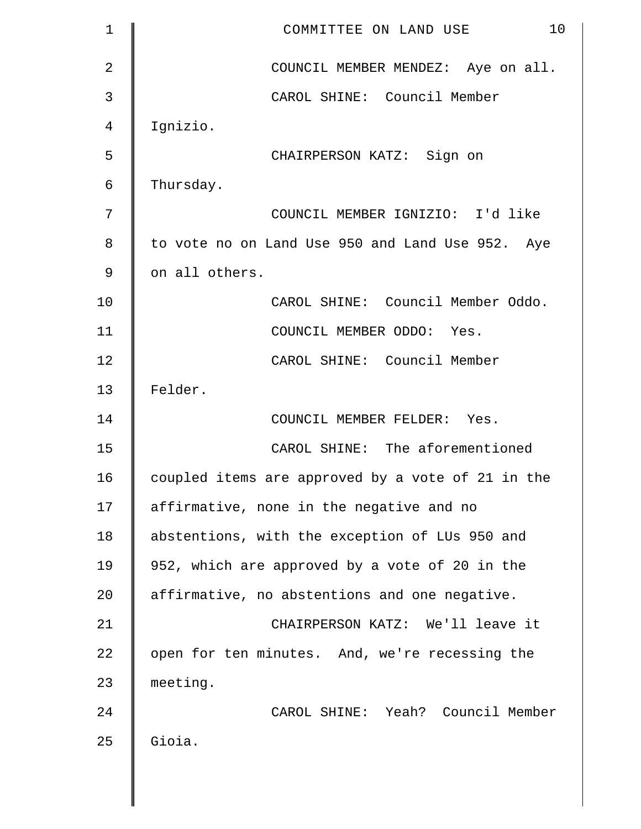| $\mathbf 1$ | 10<br>COMMITTEE ON LAND USE                       |
|-------------|---------------------------------------------------|
| 2           | COUNCIL MEMBER MENDEZ: Aye on all.                |
| 3           | CAROL SHINE: Council Member                       |
| 4           | Ignizio.                                          |
| 5           | CHAIRPERSON KATZ: Sign on                         |
| 6           | Thursday.                                         |
| 7           | COUNCIL MEMBER IGNIZIO: I'd like                  |
| 8           | to vote no on Land Use 950 and Land Use 952. Aye  |
| 9           | on all others.                                    |
| 10          | CAROL SHINE: Council Member Oddo.                 |
| 11          | COUNCIL MEMBER ODDO: Yes.                         |
| 12          | CAROL SHINE: Council Member                       |
| 13          | Felder.                                           |
| 14          | COUNCIL MEMBER FELDER: Yes.                       |
| 15          | CAROL SHINE: The aforementioned                   |
| 16          | coupled items are approved by a vote of 21 in the |
| 17          | affirmative, none in the negative and no          |
| 18          | abstentions, with the exception of LUs 950 and    |
| 19          | 952, which are approved by a vote of 20 in the    |
| 20          | affirmative, no abstentions and one negative.     |
| 21          | CHAIRPERSON KATZ: We'll leave it                  |
| 22          | open for ten minutes. And, we're recessing the    |
| 23          | meeting.                                          |
| 24          | CAROL SHINE: Yeah? Council Member                 |
| 25          | Gioia.                                            |
|             |                                                   |

 $\parallel$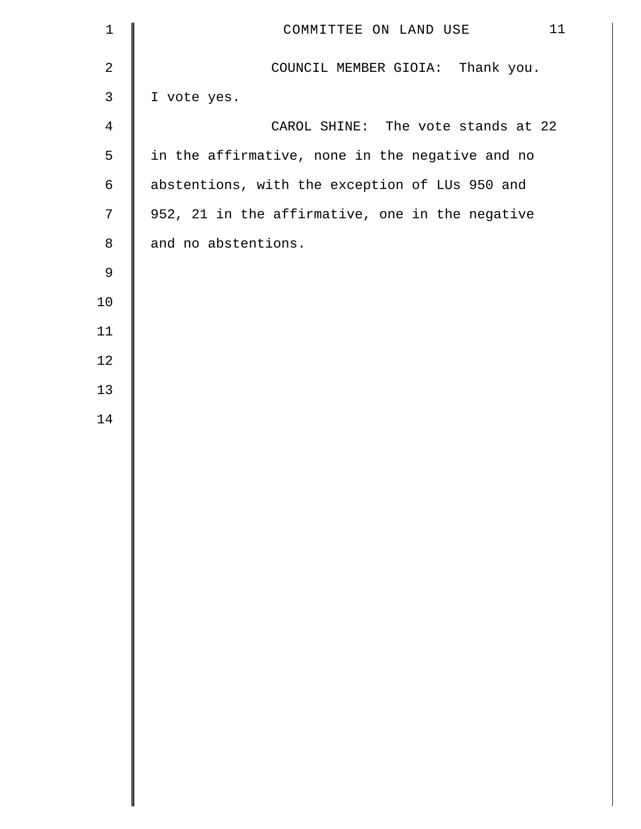| $\mathbf 1$    | 11<br>COMMITTEE ON LAND USE                     |
|----------------|-------------------------------------------------|
| $\mathbf{2}$   | COUNCIL MEMBER GIOIA: Thank you.                |
| $\mathsf{3}$   | I vote yes.                                     |
| $\overline{4}$ | CAROL SHINE: The vote stands at 22              |
| $\mathsf S$    | in the affirmative, none in the negative and no |
| $\epsilon$     | abstentions, with the exception of LUs 950 and  |
| $7\phantom{.}$ | 952, 21 in the affirmative, one in the negative |
| $\,8\,$        | and no abstentions.                             |
| $\mathsf 9$    |                                                 |
| 10             |                                                 |
| 11             |                                                 |
| 12             |                                                 |
| 13             |                                                 |
| 14             |                                                 |
|                |                                                 |
|                |                                                 |
|                |                                                 |
|                |                                                 |
|                |                                                 |
|                |                                                 |
|                |                                                 |
|                |                                                 |
|                |                                                 |
|                |                                                 |
|                |                                                 |
|                |                                                 |
|                |                                                 |